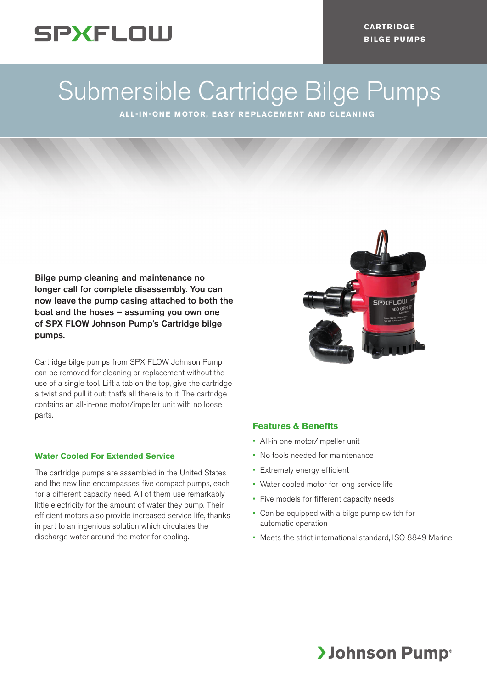# **SPXFLOW**

**CARTR I DG E BILGE PUMPS**

# Submersible Cartridge Bilge Pumps

**ALL-IN-ONE MOTOR, EASY REPLACEMENT AND CLEANING**

Bilge pump cleaning and maintenance no longer call for complete disassembly. You can now leave the pump casing attached to both the boat and the hoses – assuming you own one of SPX FLOW Johnson Pump's Cartridge bilge pumps.

Cartridge bilge pumps from SPX FLOW Johnson Pump can be removed for cleaning or replacement without the use of a single tool. Lift a tab on the top, give the cartridge a twist and pull it out; that's all there is to it. The cartridge contains an all-in-one motor/impeller unit with no loose parts.

#### **Water Cooled For Extended Service**

The cartridge pumps are assembled in the United States and the new line encompasses five compact pumps, each for a different capacity need. All of them use remarkably little electricity for the amount of water they pump. Their efficient motors also provide increased service life, thanks in part to an ingenious solution which circulates the discharge water around the motor for cooling.



## **Features & Benefits**

- All-in one motor/impeller unit
- No tools needed for maintenance
- Extremely energy efficient
- Water cooled motor for long service life
- Five models for fifferent capacity needs
- Can be equipped with a bilge pump switch for automatic operation
- Meets the strict international standard, ISO 8849 Marine

# **>Johnson Pump**®